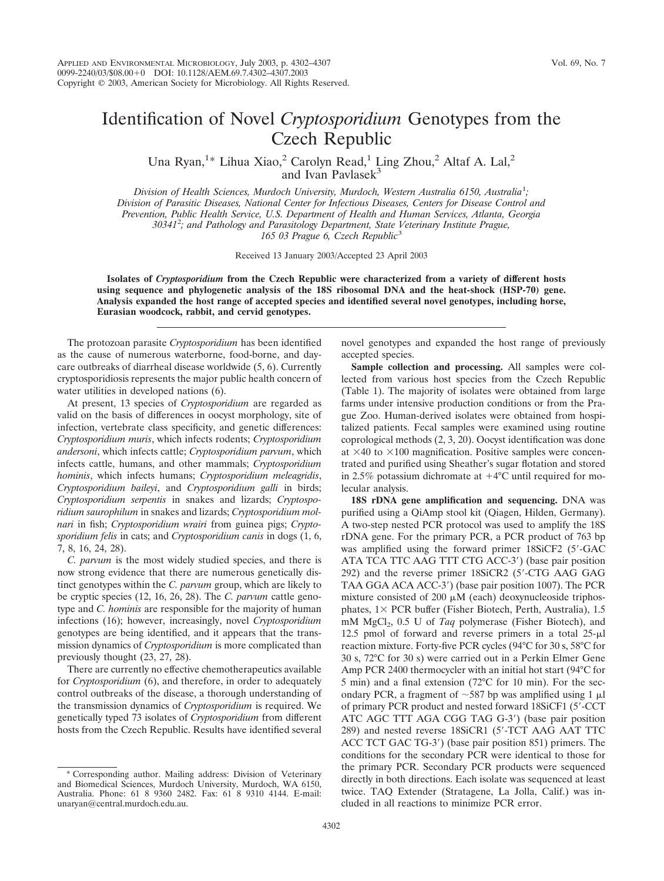## Identification of Novel *Cryptosporidium* Genotypes from the Czech Republic

Una Ryan,<sup>1\*</sup> Lihua Xiao,<sup>2</sup> Carolyn Read,<sup>1</sup> Ling Zhou,<sup>2</sup> Altaf A. Lal,<sup>2</sup> and Ivan Pavlasek<sup>3</sup>

*Division of Health Sciences, Murdoch University, Murdoch, Western Australia 6150, Australia*<sup>1</sup> *; Division of Parasitic Diseases, National Center for Infectious Diseases, Centers for Disease Control and Prevention, Public Health Service, U.S. Department of Health and Human Services, Atlanta, Georgia 30341*<sup>2</sup> *; and Pathology and Parasitology Department, State Veterinary Institute Prague, 165 03 Prague 6, Czech Republic*<sup>3</sup>

Received 13 January 2003/Accepted 23 April 2003

**Isolates of** *Cryptosporidium* **from the Czech Republic were characterized from a variety of different hosts using sequence and phylogenetic analysis of the 18S ribosomal DNA and the heat-shock (HSP-70) gene. Analysis expanded the host range of accepted species and identified several novel genotypes, including horse, Eurasian woodcock, rabbit, and cervid genotypes.**

The protozoan parasite *Cryptosporidium* has been identified as the cause of numerous waterborne, food-borne, and daycare outbreaks of diarrheal disease worldwide (5, 6). Currently cryptosporidiosis represents the major public health concern of water utilities in developed nations  $(6)$ .

At present, 13 species of *Cryptosporidium* are regarded as valid on the basis of differences in oocyst morphology, site of infection, vertebrate class specificity, and genetic differences: *Cryptosporidium muris*, which infects rodents; *Cryptosporidium andersoni*, which infects cattle; *Cryptosporidium parvum*, which infects cattle, humans, and other mammals; *Cryptosporidium hominis*, which infects humans; *Cryptosporidium meleagridis*, *Cryptosporidium baileyi*, and *Cryptosporidium galli* in birds; *Cryptosporidium serpentis* in snakes and lizards; *Cryptosporidium saurophilum* in snakes and lizards; *Cryptosporidium molnari* in fish; *Cryptosporidium wrairi* from guinea pigs; *Cryptosporidium felis* in cats; and *Cryptosporidium canis* in dogs (1, 6, 7, 8, 16, 24, 28).

*C. parvum* is the most widely studied species, and there is now strong evidence that there are numerous genetically distinct genotypes within the *C. parvum* group, which are likely to be cryptic species (12, 16, 26, 28). The *C. parvum* cattle genotype and *C. hominis* are responsible for the majority of human infections (16); however, increasingly, novel *Cryptosporidium* genotypes are being identified, and it appears that the transmission dynamics of *Cryptosporidium* is more complicated than previously thought (23, 27, 28).

There are currently no effective chemotherapeutics available for *Cryptosporidium* (6), and therefore, in order to adequately control outbreaks of the disease, a thorough understanding of the transmission dynamics of *Cryptosporidium* is required. We genetically typed 73 isolates of *Cryptosporidium* from different hosts from the Czech Republic. Results have identified several

novel genotypes and expanded the host range of previously accepted species.

**Sample collection and processing.** All samples were collected from various host species from the Czech Republic (Table 1). The majority of isolates were obtained from large farms under intensive production conditions or from the Prague Zoo. Human-derived isolates were obtained from hospitalized patients. Fecal samples were examined using routine coprological methods (2, 3, 20). Oocyst identification was done at  $\times$ 40 to  $\times$ 100 magnification. Positive samples were concentrated and purified using Sheather's sugar flotation and stored in 2.5% potassium dichromate at  $+4^{\circ}$ C until required for molecular analysis.

**18S rDNA gene amplification and sequencing.** DNA was purified using a QiAmp stool kit (Qiagen, Hilden, Germany). A two-step nested PCR protocol was used to amplify the 18S rDNA gene. For the primary PCR, a PCR product of 763 bp was amplified using the forward primer 18SiCF2 (5'-GAC) ATA TCA TTC AAG TTT CTG ACC-3') (base pair position 292) and the reverse primer 18SiCR2 (5-CTG AAG GAG TAA GGA ACA ACC-3) (base pair position 1007). The PCR mixture consisted of 200  $\mu$ M (each) deoxynucleoside triphosphates,  $1\times$  PCR buffer (Fisher Biotech, Perth, Australia), 1.5 mM MgCl<sub>2</sub>, 0.5 U of *Taq* polymerase (Fisher Biotech), and 12.5 pmol of forward and reverse primers in a total  $25-\mu l$ reaction mixture. Forty-five PCR cycles (94°C for 30 s, 58°C for 30 s, 72°C for 30 s) were carried out in a Perkin Elmer Gene Amp PCR 2400 thermocycler with an initial hot start (94°C for 5 min) and a final extension (72°C for 10 min). For the secondary PCR, a fragment of  $\sim$ 587 bp was amplified using 1  $\mu$ l of primary PCR product and nested forward 18SiCF1 (5-CCT ATC AGC TTT AGA CGG TAG G-3) (base pair position 289) and nested reverse 18SiCR1 (5-TCT AAG AAT TTC ACC TCT GAC TG-3) (base pair position 851) primers. The conditions for the secondary PCR were identical to those for the primary PCR. Secondary PCR products were sequenced directly in both directions. Each isolate was sequenced at least twice. TAQ Extender (Stratagene, La Jolla, Calif.) was included in all reactions to minimize PCR error.

Corresponding author. Mailing address: Division of Veterinary and Biomedical Sciences, Murdoch University, Murdoch, WA 6150, Australia. Phone: 61 8 9360 2482. Fax: 61 8 9310 4144. E-mail: unaryan@central.murdoch.edu.au.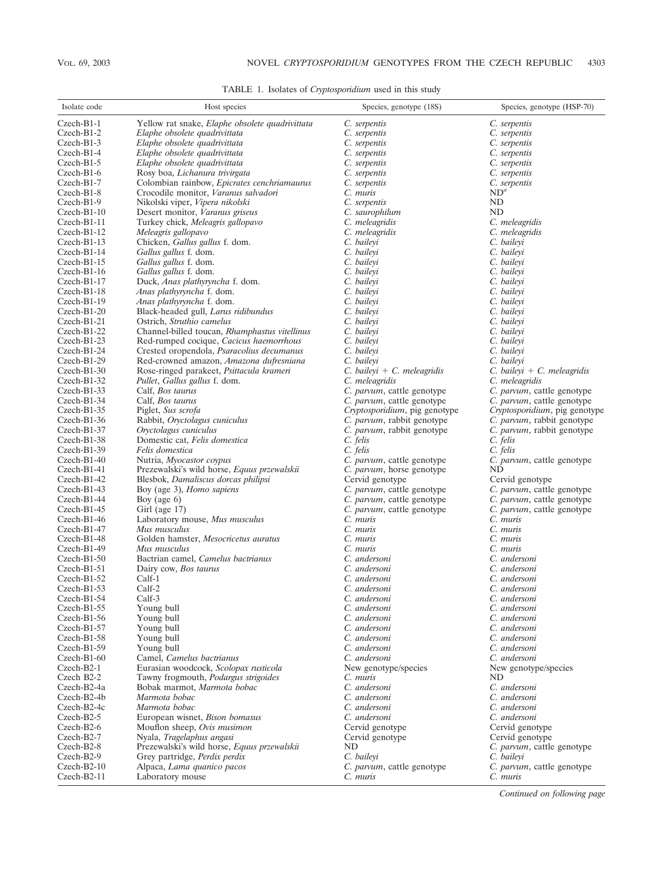TABLE 1. Isolates of *Cryptosporidium* used in this study

| Isolate code                   | Host species                                                     | Species, genotype (18S)                | Species, genotype (HSP-70)             |
|--------------------------------|------------------------------------------------------------------|----------------------------------------|----------------------------------------|
| $Czech-B1-1$                   | Yellow rat snake, Elaphe obsolete quadrivittata                  | C. serpentis                           | C. serpentis                           |
| Czech-B1-2                     | Elaphe obsolete quadrivittata                                    | C. serpentis                           | C. serpentis                           |
| $Czech-B1-3$                   | Elaphe obsolete quadrivittata                                    | C. serpentis                           | C. serpentis                           |
| $Czech-B1-4$                   | Elaphe obsolete quadrivittata                                    | C. serpentis                           | C. serpentis                           |
| $Czech-B1-5$                   | Elaphe obsolete quadrivittata                                    | C. serpentis                           | C. serpentis                           |
| $Czech-B1-6$                   | Rosy boa, Lichanura trivirgata                                   | C. serpentis                           | C. serpentis                           |
| $Czech-B1-7$                   | Colombian rainbow, Epicrates cenchriamaurus                      | C. serpentis                           | C. serpentis                           |
| Czech-B1-8                     | Crocodile monitor, Varanus salvadori                             | C. muris                               | $ND^a$                                 |
| Czech-B1-9                     | Nikolski viper, Vipera nikolski                                  | C. serpentis                           | ND                                     |
| $Czech-B1-10$                  | Desert monitor, Varanus griseus                                  | C. saurophilum                         | <b>ND</b>                              |
| $Czech-B1-11$                  | Turkey chick, Meleagris gallopavo                                | C. meleagridis                         | C. meleagridis                         |
| $Czech-B1-12$                  | Meleagris gallopavo                                              | C. meleagridis                         | C. meleagridis                         |
| $Czech-B1-13$                  | Chicken, Gallus gallus f. dom.                                   | C. baileyi                             | C. baileyi                             |
| Czech-B1-14                    | Gallus gallus f. dom.                                            | C. baileyi                             | C. baileyi                             |
| $Czech-B1-15$                  | Gallus gallus f. dom.                                            | C. baileyi                             | C. baileyi                             |
| $Czech-B1-16$                  | Gallus gallus f. dom.                                            | C. baileyi                             | C. baileyi                             |
| $Czech-B1-17$                  | Duck, Anas plathyryncha f. dom.                                  | C. baileyi                             | C. baileyi                             |
| Czech-B1-18                    | Anas plathyryncha f. dom.                                        | C. baileyi                             | C. baileyi                             |
| $Czech-B1-19$                  | Anas plathyryncha f. dom.                                        | C. baileyi                             | C. baileyi                             |
| $Czech-B1-20$<br>Czech-B1-21   | Black-headed gull, Larus ridibundus<br>Ostrich, Struthio camelus | C. baileyi<br>C. baileyi               | C. baileyi<br>C. baileyi               |
| Czech-B1-22                    | Channel-billed toucan, Rhamphastus vitellinus                    | C. bailevi                             | C. bailevi                             |
| $Czech-B1-23$                  | Red-rumped cocique, Cacicus haemorrhous                          | C. bailevi                             | C. bailevi                             |
| Czech-B1-24                    | Crested oropendola, Psaracolius decumanus                        | C. bailevi                             | C. baileyi                             |
| Czech-B1-29                    | Red-crowned amazon, Amazona dufresniana                          | C. baileyi                             | C. baileyi                             |
| Czech-B1-30                    | Rose-ringed parakeet, Psittacula krameri                         | C. baileyi + C. meleagridis            | $C.$ baileyi + $C.$ meleagridis        |
| $Czech-B1-32$                  | Pullet, Gallus gallus f. dom.                                    | C. meleagridis                         | C. meleagridis                         |
| $Czech-B1-33$                  | Calf, <i>Bos taurus</i>                                          | C. parvum, cattle genotype             | C. parvum, cattle genotype             |
| Czech-B1-34                    | Calf, Bos taurus                                                 | C. parvum, cattle genotype             | C. parvum, cattle genotype             |
| $Czech-B1-35$                  | Piglet, Sus scrofa                                               | Cryptosporidium, pig genotype          | Cryptosporidium, pig genotype          |
| $Czech-B1-36$                  | Rabbit, Oryctolagus cuniculus                                    | C. parvum, rabbit genotype             | C. parvum, rabbit genotype             |
| $Czech-B1-37$                  | Oryctolagus cuniculus                                            | C. parvum, rabbit genotype             | C. parvum, rabbit genotype             |
| Czech-B1-38                    | Domestic cat, Felis domestica                                    | C. felis                               | C. felis                               |
| $Czech-B1-39$                  | Felis domestica                                                  | C. felis                               | C. felis                               |
| $Czech-B1-40$                  | Nutria, Myocastor coypus                                         | C. parvum, cattle genotype             | C. parvum, cattle genotype             |
| $Czech-B1-41$                  | Prezewalski's wild horse, Equus przewalskii                      | C. parvum, horse genotype              | ND                                     |
| Czech-B1-42                    | Blesbok, Damaliscus dorcas philipsi                              | Cervid genotype                        | Cervid genotype                        |
| $Czech-B1-43$                  | Boy (age 3), Homo sapiens                                        | C. parvum, cattle genotype             | C. parvum, cattle genotype             |
| Czech-B1-44                    | Boy (age $6$ )                                                   | C. parvum, cattle genotype             | C. parvum, cattle genotype             |
| $Czech-B1-45$<br>$Czech-B1-46$ | Girl (age 17)<br>Laboratory mouse, Mus musculus                  | C. parvum, cattle genotype<br>C. muris | C. parvum, cattle genotype<br>C. muris |
| $Czech-B1-47$                  | Mus musculus                                                     | C. muris                               | C. muris                               |
| Czech-B1-48                    | Golden hamster, Mesocricetus auratus                             | C. muris                               | C. muris                               |
| $Czech-B1-49$                  | Mus musculus                                                     | C. muris                               | C. muris                               |
| $Czech-B1-50$                  | Bactrian camel, Camelus bactrianus                               | C. andersoni                           | C. andersoni                           |
| $Czech-B1-51$                  | Dairy cow, <i>Bos taurus</i>                                     | C. andersoni                           | C. andersoni                           |
| $Czech-B1-52$                  | Calf-1                                                           | C. andersoni                           | C. andersoni                           |
| $Czech-B1-53$                  | Calf-2                                                           | C. andersoni                           | C. andersoni                           |
| Czech-B1-54                    | Calf-3                                                           | C. andersoni                           | C. andersoni                           |
| $Czech-B1-55$                  | Young bull                                                       | C. andersoni                           | C. andersoni                           |
| $Czech-B1-56$                  | Young bull                                                       | C. andersoni                           | C. andersoni                           |
| $Czech-B1-57$                  | Young bull                                                       | C. andersoni                           | C. andersoni                           |
| $Czech-B1-58$                  | Young bull                                                       | C. andersoni                           | C. andersoni                           |
| $Czech-B1-59$                  | Young bull                                                       | C. andersoni                           | C. andersoni                           |
| $Czech-B1-60$                  | Camel, Camelus bactrianus                                        | C. andersoni                           | C. andersoni                           |
| Czech-B2-1<br>Czech B2-2       | Eurasian woodcock, Scolopax rusticola                            | New genotype/species                   | New genotype/species                   |
|                                | Tawny frogmouth, Podargus strigoides                             | C. muris<br>C. andersoni               | ND<br>C. andersoni                     |
| Czech-B2-4a<br>Czech-B2-4b     | Bobak marmot, Marmota bobac<br>Marmota bobac                     | C. andersoni                           | C. andersoni                           |
| Czech-B2-4c                    | Marmota bobac                                                    | C. andersoni                           | C. andersoni                           |
| $Czech-B2-5$                   | European wisnet, Bison bomasus                                   | C. andersoni                           | C. andersoni                           |
| Czech-B2-6                     | Mouflon sheep, Ovis musimon                                      | Cervid genotype                        | Cervid genotype                        |
| Czech-B2-7                     | Nyala, Tragelaphus angasi                                        | Cervid genotype                        | Cervid genotype                        |
| Czech-B2-8                     | Prezewalski's wild horse, Equus przewalskii                      | ND                                     | C. parvum, cattle genotype             |
| Czech-B2-9                     | Grey partridge, Perdix perdix                                    | C. baileyi                             | C. baileyi                             |
| $Czech-B2-10$                  | Alpaca, Lama quanico pacos                                       | C. parvum, cattle genotype             | C. parvum, cattle genotype             |
| $Czech-B2-11$                  | Laboratory mouse                                                 | C. muris                               | C. muris                               |

*Continued on following page*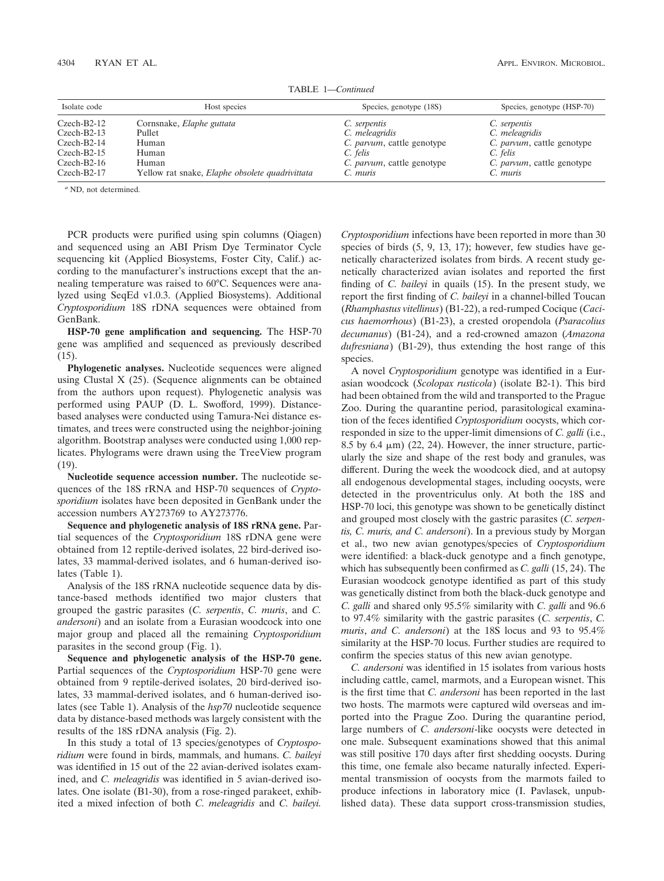| Czech-B2-12                  | Cornsnake, <i>Elaphe guttata</i>                | C. serpentis                       | C. serpentis          |
|------------------------------|-------------------------------------------------|------------------------------------|-----------------------|
| Czech-B2-13                  | Pullet                                          | C. meleagridis                     | C. meleagridis        |
| Czech-B2-14                  | Human                                           | C. <i>parvum</i> , cattle genotype | C. parvum, ca         |
| Czech-B2-15                  | Human                                           | C. felis                           | C. felis              |
| Czech-B2-16                  | Human                                           | C. parvum, cattle genotype         | C. <i>parvum</i> , ca |
| Czech-B2-17                  | Yellow rat snake, Elaphe obsolete quadrivittata | C. muris                           | C. muris              |
| $\alpha$ ND, not determined. |                                                 |                                    |                       |

PCR products were purified using spin columns (Qiagen) and sequenced using an ABI Prism Dye Terminator Cycle sequencing kit (Applied Biosystems, Foster City, Calif.) according to the manufacturer's instructions except that the annealing temperature was raised to 60°C. Sequences were analyzed using SeqEd v1.0.3. (Applied Biosystems). Additional *Cryptosporidium* 18S rDNA sequences were obtained from GenBank.

**HSP-70 gene amplification and sequencing.** The HSP-70 gene was amplified and sequenced as previously described  $(15)$ .

**Phylogenetic analyses.** Nucleotide sequences were aligned using Clustal X (25). (Sequence alignments can be obtained from the authors upon request). Phylogenetic analysis was performed using PAUP (D. L. Swofford, 1999). Distancebased analyses were conducted using Tamura-Nei distance estimates, and trees were constructed using the neighbor-joining algorithm. Bootstrap analyses were conducted using 1,000 replicates. Phylograms were drawn using the TreeView program (19).

**Nucleotide sequence accession number.** The nucleotide sequences of the 18S rRNA and HSP-70 sequences of *Cryptosporidium* isolates have been deposited in GenBank under the accession numbers AY273769 to AY273776.

**Sequence and phylogenetic analysis of 18S rRNA gene.** Partial sequences of the *Cryptosporidium* 18S rDNA gene were obtained from 12 reptile-derived isolates, 22 bird-derived isolates, 33 mammal-derived isolates, and 6 human-derived isolates (Table 1).

Analysis of the 18S rRNA nucleotide sequence data by distance-based methods identified two major clusters that grouped the gastric parasites (*C. serpentis*, *C. muris*, and *C. andersoni*) and an isolate from a Eurasian woodcock into one major group and placed all the remaining *Cryptosporidium* parasites in the second group (Fig. 1).

**Sequence and phylogenetic analysis of the HSP-70 gene.** Partial sequences of the *Cryptosporidium* HSP-70 gene were obtained from 9 reptile-derived isolates, 20 bird-derived isolates, 33 mammal-derived isolates, and 6 human-derived isolates (see Table 1). Analysis of the *hsp70* nucleotide sequence data by distance-based methods was largely consistent with the results of the 18S rDNA analysis (Fig. 2).

In this study a total of 13 species/genotypes of *Cryptosporidium* were found in birds, mammals, and humans. *C. baileyi* was identified in 15 out of the 22 avian-derived isolates examined, and *C. meleagridis* was identified in 5 avian-derived isolates. One isolate (B1-30), from a rose-ringed parakeet, exhibited a mixed infection of both *C. meleagridis* and *C. baileyi.*

*Cryptosporidium* infections have been reported in more than 30 species of birds (5, 9, 13, 17); however, few studies have genetically characterized isolates from birds. A recent study genetically characterized avian isolates and reported the first finding of *C. baileyi* in quails (15). In the present study, we report the first finding of *C. baileyi* in a channel-billed Toucan (*Rhamphastus vitellinus*) (B1-22), a red-rumped Cocique (*Cacicus haemorrhous*) (B1-23), a crested oropendola (*Psaracolius decumanus*) (B1-24), and a red-crowned amazon (*Amazona dufresniana*) (B1-29), thus extending the host range of this species.

A novel *Cryptosporidium* genotype was identified in a Eurasian woodcock (*Scolopax rusticola*) (isolate B2-1). This bird had been obtained from the wild and transported to the Prague Zoo. During the quarantine period, parasitological examination of the feces identified *Cryptosporidium* oocysts, which corresponded in size to the upper-limit dimensions of *C. galli* (i.e., 8.5 by 6.4  $\mu$ m) (22, 24). However, the inner structure, particularly the size and shape of the rest body and granules, was different. During the week the woodcock died, and at autopsy all endogenous developmental stages, including oocysts, were detected in the proventriculus only. At both the 18S and HSP-70 loci, this genotype was shown to be genetically distinct and grouped most closely with the gastric parasites (*C. serpentis, C. muris, and C. andersoni*). In a previous study by Morgan et al., two new avian genotypes/species of *Cryptosporidium* were identified: a black-duck genotype and a finch genotype, which has subsequently been confirmed as *C. galli* (15, 24). The Eurasian woodcock genotype identified as part of this study was genetically distinct from both the black-duck genotype and *C. galli* and shared only 95.5% similarity with *C. galli* and 96.6 to 97.4% similarity with the gastric parasites (*C. serpentis*, *C. muris*, *and C. andersoni*) at the 18S locus and 93 to 95.4% similarity at the HSP-70 locus. Further studies are required to confirm the species status of this new avian genotype.

*C. andersoni* was identified in 15 isolates from various hosts including cattle, camel, marmots, and a European wisnet. This is the first time that *C. andersoni* has been reported in the last two hosts. The marmots were captured wild overseas and imported into the Prague Zoo. During the quarantine period, large numbers of *C. andersoni*-like oocysts were detected in one male. Subsequent examinations showed that this animal was still positive 170 days after first shedding oocysts. During this time, one female also became naturally infected. Experimental transmission of oocysts from the marmots failed to produce infections in laboratory mice (I. Pavlasek, unpublished data). These data support cross-transmission studies,

Czech-B2-14 Human *C. parvum*, cattle genotype *C. parvum*, cattle genotype

Czech-B2-16 Human *C. parvum*, cattle genotype *C. parvum*, cattle genotype

TABLE 1—*Continued*

Isolate code Host species Species, genotype (18S) Species, genotype (HSP-70)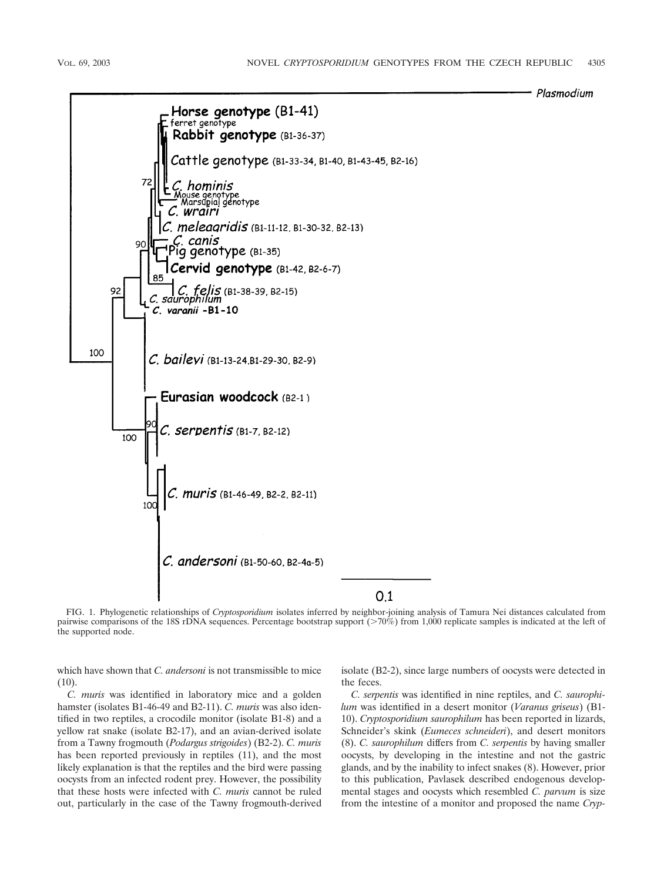



FIG. 1. Phylogenetic relationships of *Cryptosporidium* isolates inferred by neighbor-joining analysis of Tamura Nei distances calculated from pairwise comparisons of the 18S rDNA sequences. Percentage bootstrap support (>70%) from 1,000 replicate samples is indicated at the left of the supported node.

which have shown that *C. andersoni* is not transmissible to mice (10).

isolate (B2-2), since large numbers of oocysts were detected in the feces.

*C. muris* was identified in laboratory mice and a golden hamster (isolates B1-46-49 and B2-11). *C. muris* was also identified in two reptiles, a crocodile monitor (isolate B1-8) and a yellow rat snake (isolate B2-17), and an avian-derived isolate from a Tawny frogmouth (*Podargus strigoides*) (B2-2). *C. muris* has been reported previously in reptiles (11), and the most likely explanation is that the reptiles and the bird were passing oocysts from an infected rodent prey. However, the possibility that these hosts were infected with *C. muris* cannot be ruled out, particularly in the case of the Tawny frogmouth-derived

*C. serpentis* was identified in nine reptiles, and *C. saurophilum* was identified in a desert monitor (*Varanus griseus*) (B1- 10). *Cryptosporidium saurophilum* has been reported in lizards, Schneider's skink (*Eumeces schneideri*), and desert monitors (8). *C. saurophilum* differs from *C. serpentis* by having smaller oocysts, by developing in the intestine and not the gastric glands, and by the inability to infect snakes (8). However, prior to this publication, Pavlasek described endogenous developmental stages and oocysts which resembled *C. parvum* is size from the intestine of a monitor and proposed the name *Cryp-*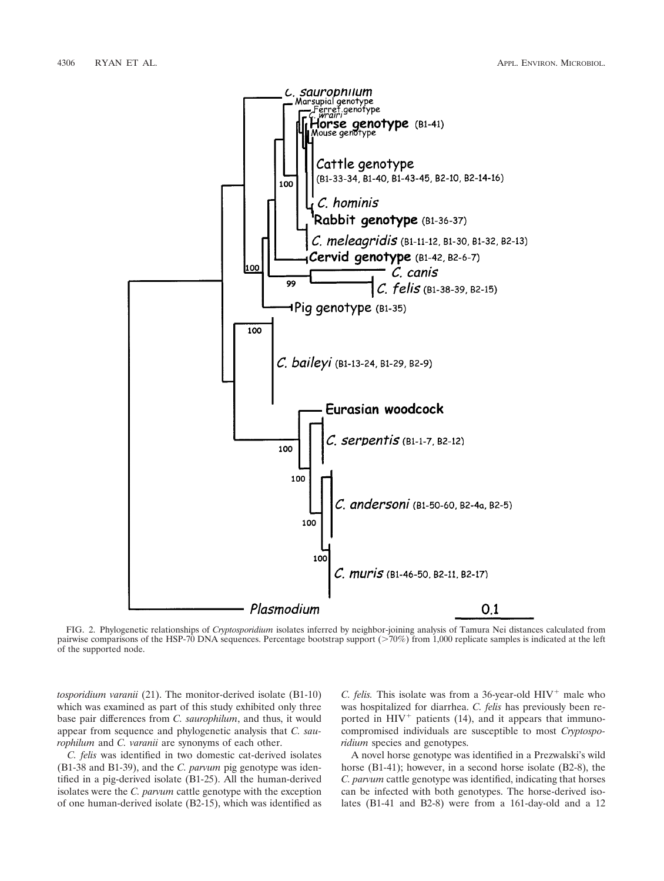

FIG. 2. Phylogenetic relationships of *Cryptosporidium* isolates inferred by neighbor-joining analysis of Tamura Nei distances calculated from pairwise comparisons of the HSP-70 DNA sequences. Percentage bootstrap support (>70%) from 1,000 replicate samples is indicated at the left of the supported node.

*tosporidium varanii* (21). The monitor-derived isolate (B1-10) which was examined as part of this study exhibited only three base pair differences from *C. saurophilum*, and thus, it would appear from sequence and phylogenetic analysis that *C. saurophilum* and *C. varanii* are synonyms of each other.

*C. felis* was identified in two domestic cat-derived isolates (B1-38 and B1-39), and the *C. parvum* pig genotype was identified in a pig-derived isolate (B1-25). All the human-derived isolates were the *C. parvum* cattle genotype with the exception of one human-derived isolate (B2-15), which was identified as *C. felis.* This isolate was from a 36-year-old  $HIV<sup>+</sup>$  male who was hospitalized for diarrhea. *C. felis* has previously been reported in  $HIV^+$  patients (14), and it appears that immunocompromised individuals are susceptible to most *Cryptosporidium* species and genotypes.

A novel horse genotype was identified in a Prezwalski's wild horse (B1-41); however, in a second horse isolate (B2-8), the *C. parvum* cattle genotype was identified, indicating that horses can be infected with both genotypes. The horse-derived isolates (B1-41 and B2-8) were from a 161-day-old and a 12